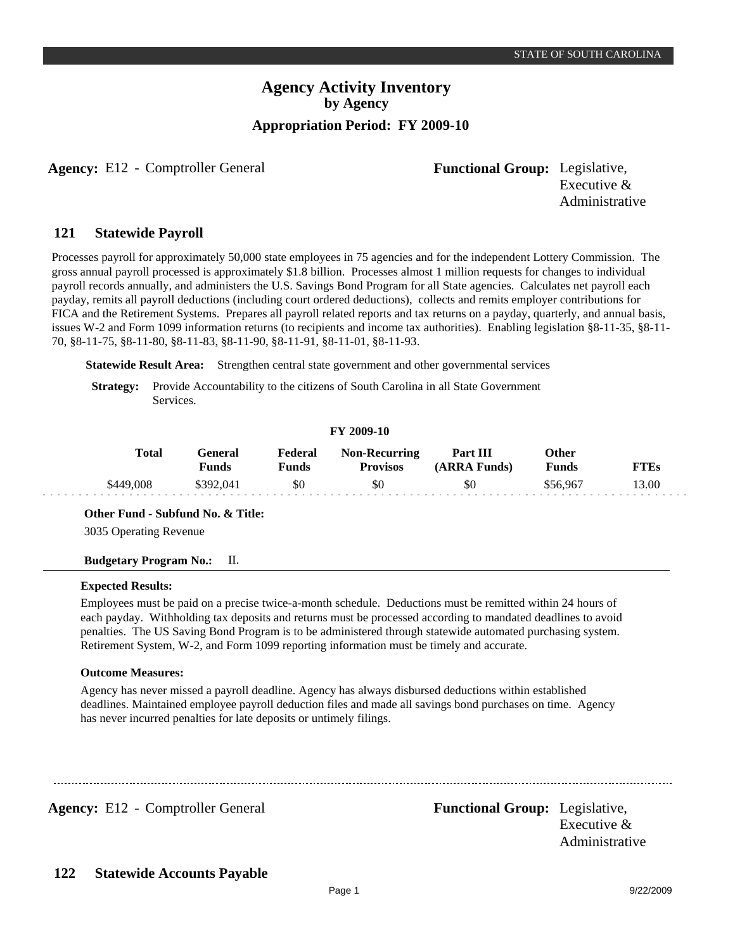**Agency:** E12 - Comptroller General **Functional Group:** Legislative,

Executive & Administrative

#### **Statewide Payroll 121**

Processes payroll for approximately 50,000 state employees in 75 agencies and for the independent Lottery Commission. The gross annual payroll processed is approximately \$1.8 billion. Processes almost 1 million requests for changes to individual payroll records annually, and administers the U.S. Savings Bond Program for all State agencies. Calculates net payroll each payday, remits all payroll deductions (including court ordered deductions), collects and remits employer contributions for FICA and the Retirement Systems. Prepares all payroll related reports and tax returns on a payday, quarterly, and annual basis, issues W-2 and Form 1099 information returns (to recipients and income tax authorities). Enabling legislation §8-11-35, §8-11- 70, §8-11-75, §8-11-80, §8-11-83, §8-11-90, §8-11-91, §8-11-01, §8-11-93.

**Statewide Result Area:** Strengthen central state government and other governmental services

**Strategy:** Provide Accountability to the citizens of South Carolina in all State Government Services.

#### **FY 2009-10**

| Total     | General<br>Funds | Federal<br>Funds | <b>Non-Recurring</b><br><b>Provisos</b> | Part III<br>(ARRA Funds) | Other<br>Funds | FTEs  |
|-----------|------------------|------------------|-----------------------------------------|--------------------------|----------------|-------|
| \$449,008 | \$392,041        | \$0              | \$0                                     | \$0                      | \$56,967       | 13.00 |

**Other Fund - Subfund No. & Title:**

3035 Operating Revenue

#### **Budgetary Program No.:** II.

#### **Expected Results:**

Employees must be paid on a precise twice-a-month schedule. Deductions must be remitted within 24 hours of each payday. Withholding tax deposits and returns must be processed according to mandated deadlines to avoid penalties. The US Saving Bond Program is to be administered through statewide automated purchasing system. Retirement System, W-2, and Form 1099 reporting information must be timely and accurate.

#### **Outcome Measures:**

Agency has never missed a payroll deadline. Agency has always disbursed deductions within established deadlines. Maintained employee payroll deduction files and made all savings bond purchases on time. Agency has never incurred penalties for late deposits or untimely filings.

Agency: E12 - Comptroller General Functional Group: Legislative,

Executive & Administrative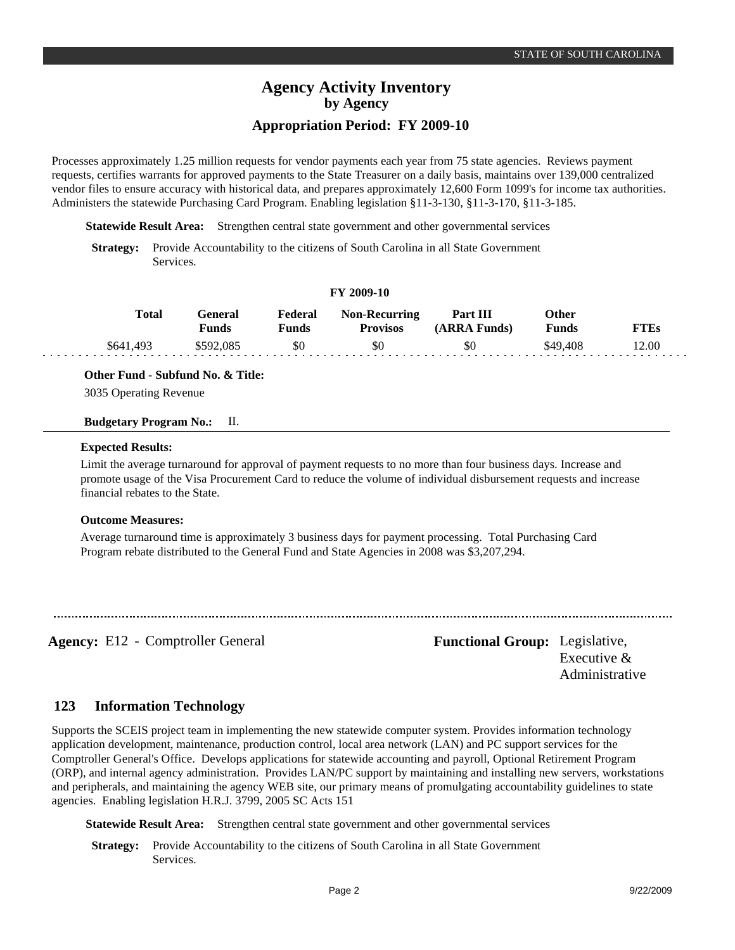Processes approximately 1.25 million requests for vendor payments each year from 75 state agencies. Reviews payment requests, certifies warrants for approved payments to the State Treasurer on a daily basis, maintains over 139,000 centralized vendor files to ensure accuracy with historical data, and prepares approximately 12,600 Form 1099's for income tax authorities. Administers the statewide Purchasing Card Program. Enabling legislation §11-3-130, §11-3-170, §11-3-185.

**Statewide Result Area:** Strengthen central state government and other governmental services

**Strategy:** Provide Accountability to the citizens of South Carolina in all State Government Services.

### **FY 2009-10**

| <b>Total</b> | Feneral<br>Funds | Federal<br>Funds | <b>Non-Recurring</b><br><b>Provisos</b> | Part III<br>(ARRA Funds) | Other<br>Funds | TTEs  |
|--------------|------------------|------------------|-----------------------------------------|--------------------------|----------------|-------|
| \$641.493    | \$592,085        | \$0              | \$0                                     | \$0                      | \$49,408       | 12.00 |

### **Other Fund - Subfund No. & Title:**

3035 Operating Revenue

#### **Budgetary Program No.:** II.

#### **Expected Results:**

Limit the average turnaround for approval of payment requests to no more than four business days. Increase and promote usage of the Visa Procurement Card to reduce the volume of individual disbursement requests and increase financial rebates to the State.

### **Outcome Measures:**

Average turnaround time is approximately 3 business days for payment processing. Total Purchasing Card Program rebate distributed to the General Fund and State Agencies in 2008 was \$3,207,294.

**Agency:** E12 - Comptroller General **Functional Group:** Legislative,

Executive & Administrative

#### **Information Technology 123**

Supports the SCEIS project team in implementing the new statewide computer system. Provides information technology application development, maintenance, production control, local area network (LAN) and PC support services for the Comptroller General's Office. Develops applications for statewide accounting and payroll, Optional Retirement Program (ORP), and internal agency administration. Provides LAN/PC support by maintaining and installing new servers, workstations and peripherals, and maintaining the agency WEB site, our primary means of promulgating accountability guidelines to state agencies. Enabling legislation H.R.J. 3799, 2005 SC Acts 151

**Statewide Result Area:** Strengthen central state government and other governmental services

**Strategy:** Provide Accountability to the citizens of South Carolina in all State Government Services.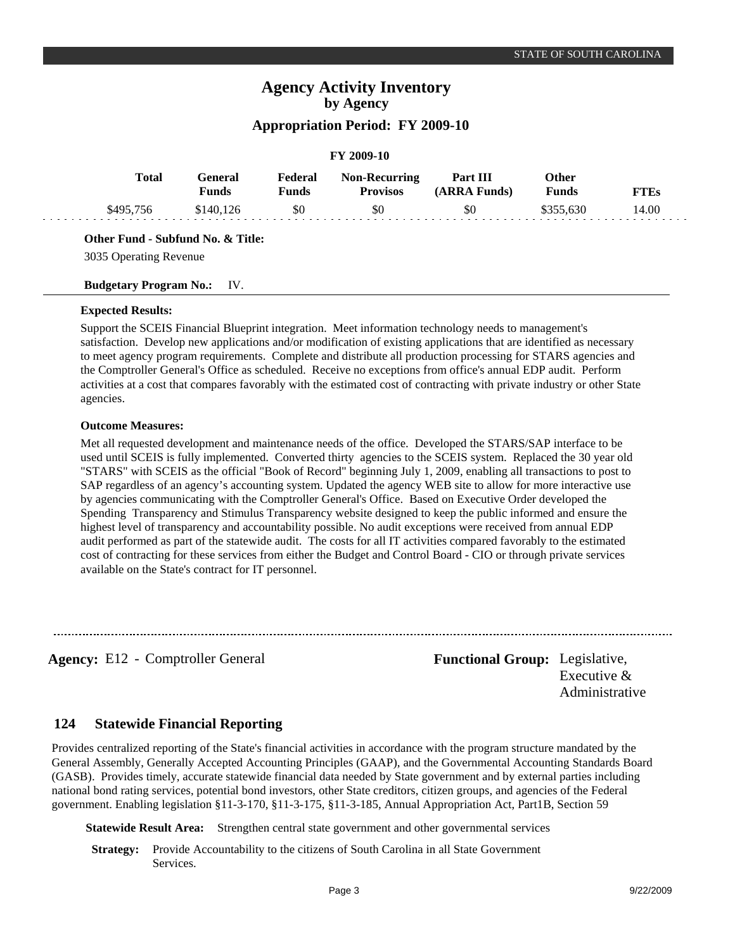#### **FY 2009-10 General Funds**  \$140,126 **Other Funds** \$355,630 **Federal Funds**  \$0 **FTEs** 14.00 **Total**  \$495,756 **Non-Recurring Provisos** \$0 **Part III (ARRA Funds)** \$0

#### **Other Fund - Subfund No. & Title:**

3035 Operating Revenue

#### **Budgetary Program No.:** IV.

#### **Expected Results:**

Support the SCEIS Financial Blueprint integration. Meet information technology needs to management's satisfaction. Develop new applications and/or modification of existing applications that are identified as necessary to meet agency program requirements. Complete and distribute all production processing for STARS agencies and the Comptroller General's Office as scheduled. Receive no exceptions from office's annual EDP audit. Perform activities at a cost that compares favorably with the estimated cost of contracting with private industry or other State agencies.

#### **Outcome Measures:**

Met all requested development and maintenance needs of the office. Developed the STARS/SAP interface to be used until SCEIS is fully implemented. Converted thirty agencies to the SCEIS system. Replaced the 30 year old "STARS" with SCEIS as the official "Book of Record" beginning July 1, 2009, enabling all transactions to post to SAP regardless of an agency's accounting system. Updated the agency WEB site to allow for more interactive use by agencies communicating with the Comptroller General's Office. Based on Executive Order developed the Spending Transparency and Stimulus Transparency website designed to keep the public informed and ensure the highest level of transparency and accountability possible. No audit exceptions were received from annual EDP audit performed as part of the statewide audit. The costs for all IT activities compared favorably to the estimated cost of contracting for these services from either the Budget and Control Board - CIO or through private services available on the State's contract for IT personnel.

**Agency:** E12 - Comptroller General **Functional Group:** Legislative,

Executive & Administrative

#### **Statewide Financial Reporting 124**

Provides centralized reporting of the State's financial activities in accordance with the program structure mandated by the General Assembly, Generally Accepted Accounting Principles (GAAP), and the Governmental Accounting Standards Board (GASB). Provides timely, accurate statewide financial data needed by State government and by external parties including national bond rating services, potential bond investors, other State creditors, citizen groups, and agencies of the Federal government. Enabling legislation §11-3-170, §11-3-175, §11-3-185, Annual Appropriation Act, Part1B, Section 59

**Statewide Result Area:** Strengthen central state government and other governmental services

**Strategy:** Provide Accountability to the citizens of South Carolina in all State Government Services.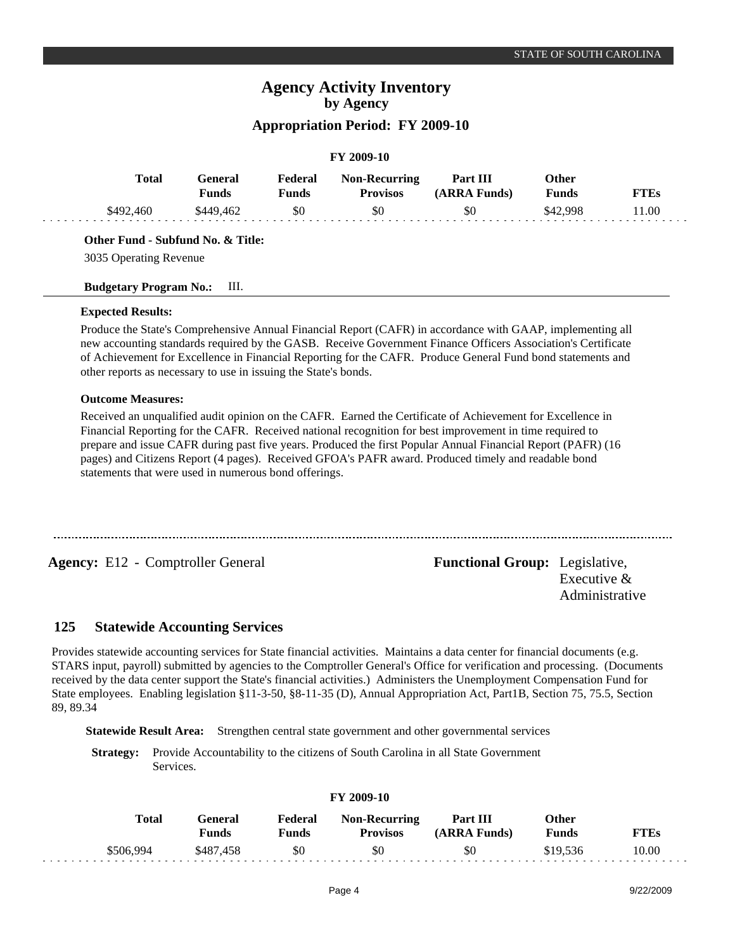# **Agency Activity Inventory by Agency**

## **Appropriation Period: FY 2009-10**

## **FY 2009-10**

| <b>Total</b> | General<br>Funds | Federal<br>Funds | <b>Non-Recurring</b><br><b>Provisos</b> | Part III<br>(ARRA Funds) | Other<br>Funds | <b>FTEs</b> |
|--------------|------------------|------------------|-----------------------------------------|--------------------------|----------------|-------------|
| \$492,460    | \$449.462        | \$0              | \$0                                     | \$0                      | \$42.998       | 1.00        |

### **Other Fund - Subfund No. & Title:**

3035 Operating Revenue

### **Budgetary Program No.:** III.

### **Expected Results:**

Produce the State's Comprehensive Annual Financial Report (CAFR) in accordance with GAAP, implementing all new accounting standards required by the GASB. Receive Government Finance Officers Association's Certificate of Achievement for Excellence in Financial Reporting for the CAFR. Produce General Fund bond statements and other reports as necessary to use in issuing the State's bonds.

### **Outcome Measures:**

Received an unqualified audit opinion on the CAFR. Earned the Certificate of Achievement for Excellence in Financial Reporting for the CAFR. Received national recognition for best improvement in time required to prepare and issue CAFR during past five years. Produced the first Popular Annual Financial Report (PAFR) (16 pages) and Citizens Report (4 pages). Received GFOA's PAFR award. Produced timely and readable bond statements that were used in numerous bond offerings.

**Agency:** E12 - Comptroller General **Functional Group:** Legislative,

Executive & Administrative

#### **Statewide Accounting Services 125**

Provides statewide accounting services for State financial activities. Maintains a data center for financial documents (e.g. STARS input, payroll) submitted by agencies to the Comptroller General's Office for verification and processing. (Documents received by the data center support the State's financial activities.) Administers the Unemployment Compensation Fund for State employees. Enabling legislation §11-3-50, §8-11-35 (D), Annual Appropriation Act, Part1B, Section 75, 75.5, Section 89, 89.34

**Statewide Result Area:** Strengthen central state government and other governmental services

**Strategy:** Provide Accountability to the citizens of South Carolina in all State Government Services.

| Total     | General<br>Funds | Federal<br>Funds | <b>Non-Recurring</b><br><b>Provisos</b> | Part III<br>(ARRA Funds) | Other<br>Funds | FTEs  |
|-----------|------------------|------------------|-----------------------------------------|--------------------------|----------------|-------|
| \$506.994 | \$487.458        | \$0              | \$0                                     | \$0                      | \$19.536       | 10.00 |

### **FY 2009-10**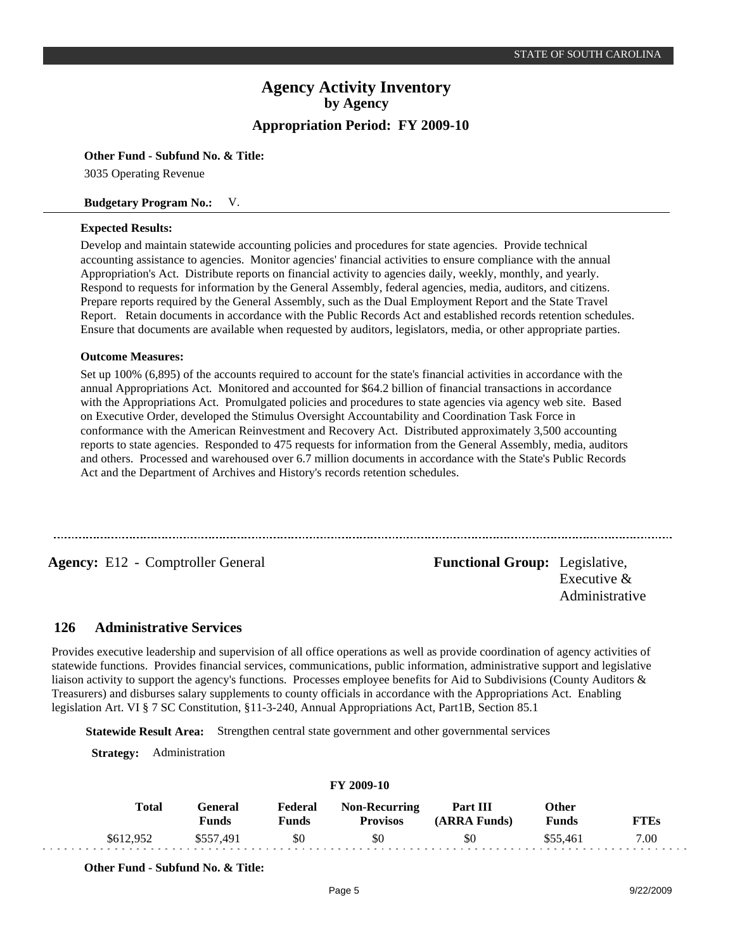#### **Other Fund - Subfund No. & Title:**

3035 Operating Revenue

#### **Budgetary Program No.:** V.

#### **Expected Results:**

Develop and maintain statewide accounting policies and procedures for state agencies. Provide technical accounting assistance to agencies. Monitor agencies' financial activities to ensure compliance with the annual Appropriation's Act. Distribute reports on financial activity to agencies daily, weekly, monthly, and yearly. Respond to requests for information by the General Assembly, federal agencies, media, auditors, and citizens. Prepare reports required by the General Assembly, such as the Dual Employment Report and the State Travel Report. Retain documents in accordance with the Public Records Act and established records retention schedules. Ensure that documents are available when requested by auditors, legislators, media, or other appropriate parties.

#### **Outcome Measures:**

Set up 100% (6,895) of the accounts required to account for the state's financial activities in accordance with the annual Appropriations Act. Monitored and accounted for \$64.2 billion of financial transactions in accordance with the Appropriations Act. Promulgated policies and procedures to state agencies via agency web site. Based on Executive Order, developed the Stimulus Oversight Accountability and Coordination Task Force in conformance with the American Reinvestment and Recovery Act. Distributed approximately 3,500 accounting reports to state agencies. Responded to 475 requests for information from the General Assembly, media, auditors and others. Processed and warehoused over 6.7 million documents in accordance with the State's Public Records Act and the Department of Archives and History's records retention schedules.

**Agency:** E12 - Comptroller General **Functional Group:** Legislative, Executive & Administrative

#### **Administrative Services 126**

Provides executive leadership and supervision of all office operations as well as provide coordination of agency activities of statewide functions. Provides financial services, communications, public information, administrative support and legislative liaison activity to support the agency's functions. Processes employee benefits for Aid to Subdivisions (County Auditors & Treasurers) and disburses salary supplements to county officials in accordance with the Appropriations Act. Enabling legislation Art. VI § 7 SC Constitution, §11-3-240, Annual Appropriations Act, Part1B, Section 85.1

**Statewide Result Area:** Strengthen central state government and other governmental services

**Strategy:** Administration

| Total     | General<br><b>Funds</b> | Federal<br>Funds | <b>Non-Recurring</b><br><b>Provisos</b> | Part III<br>(ARRA Funds) | Other<br><b>Funds</b> | <b>FTEs</b> |
|-----------|-------------------------|------------------|-----------------------------------------|--------------------------|-----------------------|-------------|
| \$612.952 | \$557.491               | \$0              | \$0                                     | \$0                      | \$55.461              | 7.00        |

**FY 2009-10**

**Other Fund - Subfund No. & Title:**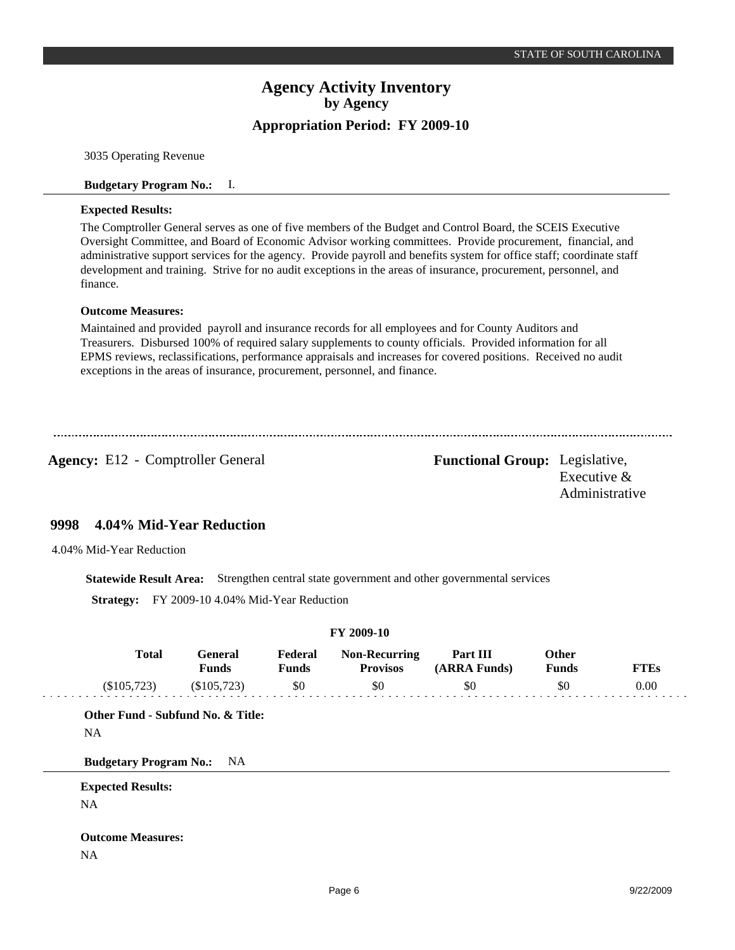3035 Operating Revenue

#### **Budgetary Program No.:** I.

#### **Expected Results:**

The Comptroller General serves as one of five members of the Budget and Control Board, the SCEIS Executive Oversight Committee, and Board of Economic Advisor working committees. Provide procurement, financial, and administrative support services for the agency. Provide payroll and benefits system for office staff; coordinate staff development and training. Strive for no audit exceptions in the areas of insurance, procurement, personnel, and finance.

### **Outcome Measures:**

Maintained and provided payroll and insurance records for all employees and for County Auditors and Treasurers. Disbursed 100% of required salary supplements to county officials. Provided information for all EPMS reviews, reclassifications, performance appraisals and increases for covered positions. Received no audit exceptions in the areas of insurance, procurement, personnel, and finance.

Agency: E12 - Comptroller General Functional Group: Legislative,

Executive & Administrative

#### **4.04% Mid-Year Reduction 9998**

4.04% Mid-Year Reduction

**Statewide Result Area:** Strengthen central state government and other governmental services

**Strategy:** FY 2009-10 4.04% Mid-Year Reduction

|                                   |                                               |                                | FY 2009-10                                     |                                 |                                     |                     |
|-----------------------------------|-----------------------------------------------|--------------------------------|------------------------------------------------|---------------------------------|-------------------------------------|---------------------|
| <b>Total</b><br>(\$105,723)       | <b>General</b><br><b>Funds</b><br>(\$105,723) | Federal<br><b>Funds</b><br>\$0 | <b>Non-Recurring</b><br><b>Provisos</b><br>\$0 | Part III<br>(ARRA Funds)<br>\$0 | <b>Other</b><br><b>Funds</b><br>\$0 | <b>FTEs</b><br>0.00 |
|                                   |                                               |                                |                                                |                                 |                                     |                     |
| Other Fund - Subfund No. & Title: |                                               |                                |                                                |                                 |                                     |                     |
| <b>NA</b>                         |                                               |                                |                                                |                                 |                                     |                     |
| <b>Budgetary Program No.:</b>     | NA                                            |                                |                                                |                                 |                                     |                     |
| <b>Expected Results:</b>          |                                               |                                |                                                |                                 |                                     |                     |
| <b>NA</b>                         |                                               |                                |                                                |                                 |                                     |                     |
|                                   |                                               |                                |                                                |                                 |                                     |                     |
| <b>Outcome Measures:</b>          |                                               |                                |                                                |                                 |                                     |                     |
| NA                                |                                               |                                |                                                |                                 |                                     |                     |